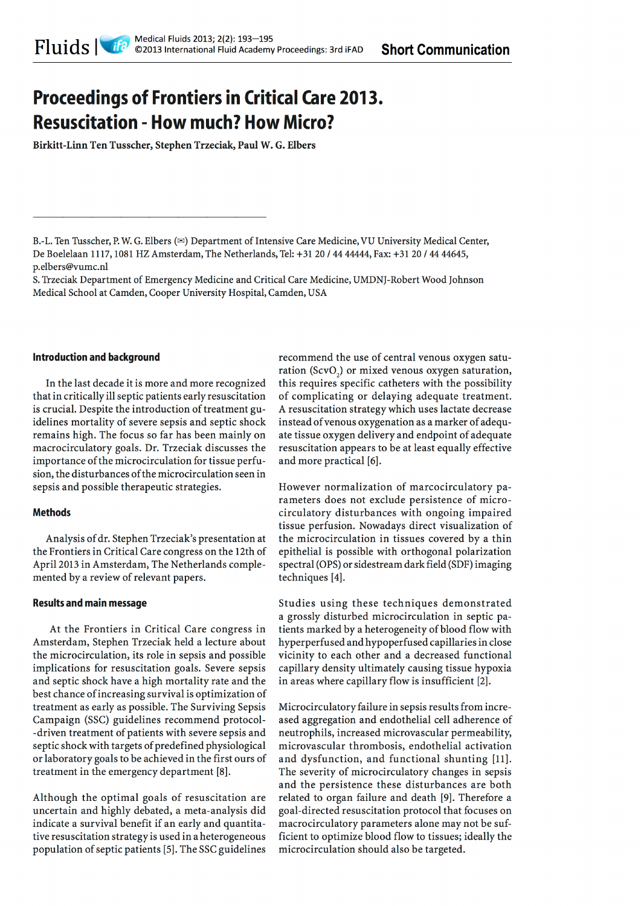# **Proceedings of Frontiers in Critical Care 2013. Resuscitation - How much? How Micro?**

Birkitt-Linn Ten Tusscher, Stephen Trzeciak, Paul W. G. Elbers

#### **Introduction and background**

In the last decade it is more and more recognized that in critically ill septic patients early resuscitation is crucial. Despite the introduction of treatment guidelines mortality of severe sepsis and septic shock remains high. The focus so far has been mainly on macrocirculatory goals. Dr. Trzeciak discusses the importance of the microcirculation for tissue perfusion, the disturbances of the microcirculation seen in sepsis and possible therapeutic strategies.

## **Methods**

Analysis of dr. Stephen Trzeciak's presentation at the Frontiers in Critical Care congress on the 12th of April 2013 in Amsterdam, The Netherlands complemented by a review of relevant papers.

## **Results and main message**

At the Frontiers in Critical Care congress in Amsterdam, Stephen Trzeciak held a lecture about the microcirculation, its role in sepsis and possible implications for resuscitation goals. Severe sepsis and septic shock have a high mortality rate and the best chance of increasing survival is optimization of treatment as early as possible. The Surviving Sepsis Campaign (SSC) guidelines recommend protocol--driven treatment of patients with severe sepsis and septic shock with targets of predefined physiological or laboratory goals to be achieved in the first ours of treatment in the emergency department [8].

Although the optimal goals of resuscitation are uncertain and highly debated, a meta-analysis did indicate a survival benefit if an early and quantitative resuscitation strategy is used in a heterogeneous population of septic patients [5]. The SSC guidelines

recommend the use of central venous oxygen saturation (ScvO<sub>2</sub>) or mixed venous oxygen saturation, this requires specific catheters with the possibility of complicating or delaying adequate treatment. A resuscitation strategy which uses lactate decrease instead of venous oxygenation as a marker of adequate tissue oxygen delivery and endpoint of adequate resuscitation appears to be at least equally effective and more practical [6].

However normalization of marcocirculatory parameters does not exclude persistence of microcirculatory disturbances with ongoing impaired tissue perfusion. Nowadays direct visualization of the microcirculation in tissues covered by a thin epithelial is possible with orthogonal polarization spectral (OPS) or sidestream dark field (SDF) imaging techniques [4].

Studies using these techniques demonstrated a grossly disturbed microcirculation in septic patients marked by a heterogeneity of blood flow with hyperperfused and hypoperfused capillaries in close vicinity to each other and a decreased functional capillary density ultimately causing tissue hypoxia in areas where capillary flow is insufficient [2].

Microcirculatory failure in sepsis results from increased aggregation and endothelial cell adherence of neutrophils, increased microvascular permeability, microvascular thrombosis, endothelial activation and dysfunction, and functional shunting [11]. The severity of microcirculatory changes in sepsis and the persistence these disturbances are both related to organ failure and death [9]. Therefore a goal-directed resuscitation protocol that focuses on macrocirculatory parameters alone may not be sufficient to optimize blood flow to tissues; ideally the microcirculation should also be targeted.

B.-L. Ten Tusscher, P. W. G. Elbers ( $\approx$ ) Department of Intensive Care Medicine, VU University Medical Center, De Boelelaan 1117, 1081 HZ Amsterdam, The Netherlands, Tel: +31 20 / 44 44444, Fax: +31 20 / 44 44645, p.elbers@vumc.nl

S. Trzeciak Department of Emergency Medicine and Critical Care Medicine, UMDNJ-Robert Wood Johnson Medical School at Camden, Cooper University Hospital, Camden, USA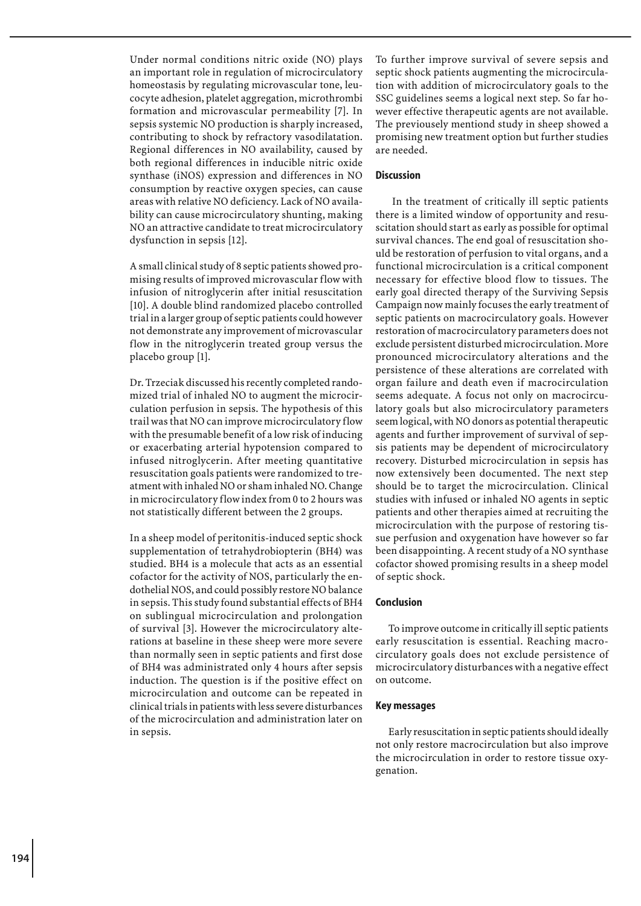Under normal conditions nitric oxide (NO) plays an important role in regulation of microcirculatory homeostasis by regulating microvascular tone, leucocyte adhesion, platelet aggregation, microthrombi formation and microvascular permeability [7]. In sepsis systemic NO production is sharply increased, contributing to shock by refractory vasodilatation. Regional differences in NO availability, caused by both regional differences in inducible nitric oxide synthase (iNOS) expression and differences in NO consumption by reactive oxygen species, can cause areas with relative NO deficiency. Lack of NO availability can cause microcirculatory shunting, making NO an attractive candidate to treat microcirculatory dysfunction in sepsis [12].

A small clinical study of 8 septic patients showed promising results of improved microvascular flow with infusion of nitroglycerin after initial resuscitation [10]. A double blind randomized placebo controlled trial in a larger group of septic patients could however not demonstrate any improvement of microvascular flow in the nitroglycerin treated group versus the placebo group [1].

Dr. Trzeciak discussed his recently completed randomized trial of inhaled NO to augment the microcirculation perfusion in sepsis. The hypothesis of this trail was that NO can improve microcirculatory flow with the presumable benefit of a low risk of inducing or exacerbating arterial hypotension compared to infused nitroglycerin. After meeting quantitative resuscitation goals patients were randomized to treatment with inhaled NO or sham inhaled NO. Change in microcirculatory flow index from 0 to 2 hours was not statistically different between the 2 groups.

In a sheep model of peritonitis-induced septic shock supplementation of tetrahydrobiopterin (BH4) was studied. BH4 is a molecule that acts as an essential cofactor for the activity of NOS, particularly the endothelial NOS, and could possibly restore NO balance in sepsis. This study found substantial effects of BH4 on sublingual microcirculation and prolongation of survival [3]. However the microcirculatory alterations at baseline in these sheep were more severe than normally seen in septic patients and first dose of BH4 was administrated only 4 hours after sepsis induction. The question is if the positive effect on microcirculation and outcome can be repeated in clinical trials in patients with less severe disturbances of the microcirculation and administration later on in sepsis.

To further improve survival of severe sepsis and septic shock patients augmenting the microcirculation with addition of microcirculatory goals to the SSC guidelines seems a logical next step. So far however effective therapeutic agents are not available. The previousely mentiond study in sheep showed a promising new treatment option but further studies are needed.

# **Discussion**

 In the treatment of critically ill septic patients there is a limited window of opportunity and resuscitation should start as early as possible for optimal survival chances. The end goal of resuscitation should be restoration of perfusion to vital organs, and a functional microcirculation is a critical component necessary for effective blood flow to tissues. The early goal directed therapy of the Surviving Sepsis Campaign now mainly focuses the early treatment of septic patients on macrocirculatory goals. However restoration of macrocirculatory parameters does not exclude persistent disturbed microcirculation. More pronounced microcirculatory alterations and the persistence of these alterations are correlated with organ failure and death even if macrocirculation seems adequate. A focus not only on macrocirculatory goals but also microcirculatory parameters seem logical, with NO donors as potential therapeutic agents and further improvement of survival of sepsis patients may be dependent of microcirculatory recovery. Disturbed microcirculation in sepsis has now extensively been documented. The next step should be to target the microcirculation. Clinical studies with infused or inhaled NO agents in septic patients and other therapies aimed at recruiting the microcirculation with the purpose of restoring tissue perfusion and oxygenation have however so far been disappointing. A recent study of a NO synthase cofactor showed promising results in a sheep model of septic shock.

### **Conclusion**

To improve outcome in critically ill septic patients early resuscitation is essential. Reaching macrocirculatory goals does not exclude persistence of microcirculatory disturbances with a negative effect on outcome.

#### **Key messages**

Early resuscitation in septic patients should ideally not only restore macrocirculation but also improve the microcirculation in order to restore tissue oxygenation.